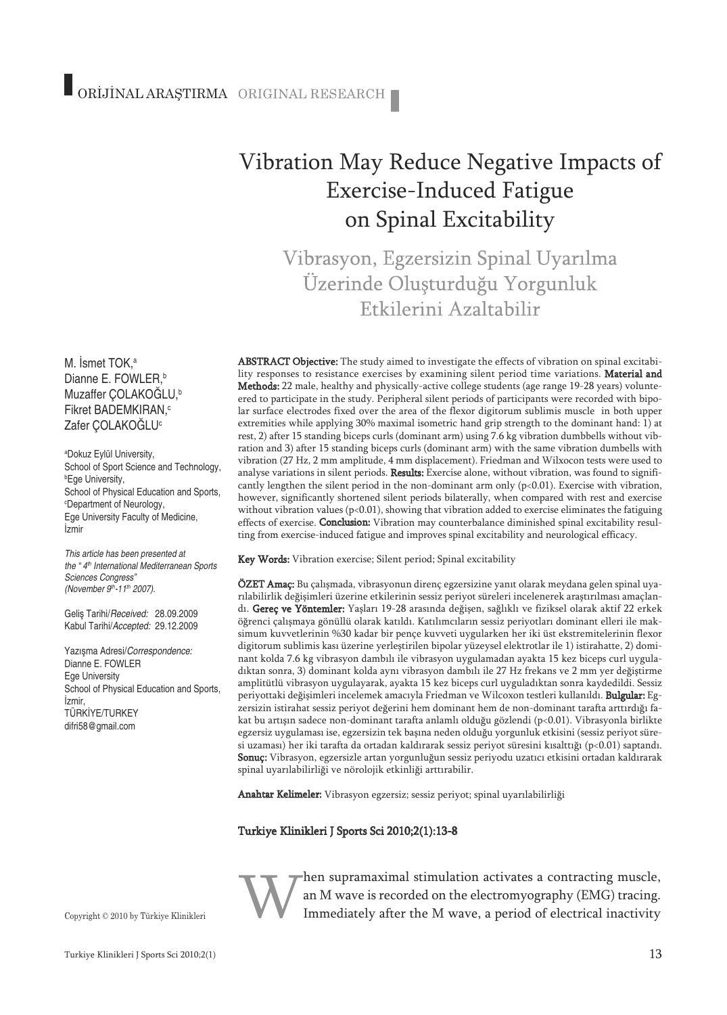# Vibration May Reduce Negative Impacts of Exercise-Induced Fatigue on Spinal Excitability

Vibrasyon, Egzersizin Spinal Uyarılma Üzerinde Oluşturduğu Yorgunluk Etkilerini Azaltabilir

ABSTRACT Objective: The study aimed to investigate the effects of vibration on spinal excitability responses to resistance exercises by examining silent period time variations. Material and Methods: 22 male, healthy and physically-active college students (age range 19-28 years) volunteered to participate in the study. Peripheral silent periods of participants were recorded with bipolar surface electrodes fixed over the area of the flexor digitorum sublimis muscle in both upper extremities while applying 30% maximal isometric hand grip strength to the dominant hand: 1) at rest, 2) after 15 standing biceps curls (dominant arm) using 7.6 kg vibration dumbbells without vibration and 3) after 15 standing biceps curls (dominant arm) with the same vibration dumbells with vibration (27 Hz, 2 mm amplitude, 4 mm displacement). Friedman and Wilxocon tests were used to analyse variations in silent periods. Results: Exercise alone, without vibration, was found to significantly lengthen the silent period in the non-dominant arm only  $(p<0.01)$ . Exercise with vibration, however, significantly shortened silent periods bilaterally, when compared with rest and exercise without vibration values (p<0.01), showing that vibration added to exercise eliminates the fatiguing effects of exercise. Conclusion: Vibration may counterbalance diminished spinal excitability resulting from exercise-induced fatigue and improves spinal excitability and neurological efficacy.

Key Words: Vibration exercise; Silent period; Spinal excitability

ÖZET Amaç: Bu çalışmada, vibrasyonun direnç egzersizine yanıt olarak meydana gelen spinal uyarılabilirlik değişimleri üzerine etkilerinin sessiz periyot süreleri incelenerek araştırılması amaçlandı. Gereç ve Yöntemler: Yaşları 19-28 arasında değişen, sağlıklı ve fiziksel olarak aktif 22 erkek öğrenci çalışmaya gönüllü olarak katıldı. Katılımcıların sessiz periyotları dominant elleri ile maksimum kuvvetlerinin %30 kadar bir pençe kuvveti uygularken her iki üst ekstremitelerinin flexor digitorum sublimis kası üzerine yerleştirilen bipolar yüzeysel elektrotlar ile 1) istirahatte, 2) dominant kolda 7.6 kg vibrasyon dambılı ile vibrasyon uygulamadan ayakta 15 kez biceps curl uyguladıktan sonra, 3) dominant kolda aynı vibrasyon dambılı ile 27 Hz frekans ve 2 mm yer değiştirme amplitütlü vibrasyon uygulayarak, ayakta 15 kez biceps curl uyguladıktan sonra kaydedildi. Sessiz periyottaki değişimleri incelemek amacıyla Friedman ve Wilcoxon testleri kullanıldı. Bulgular: Egzersizin istirahat sessiz periyot değerini hem dominant hem de non-dominant tarafta arttırdığı fakat bu artışın sadece non-dominant tarafta anlamlı olduğu gözlendi (p<0.01). Vibrasyonla birlikte egzersiz uygulaması ise, egzersizin tek başına neden olduğu yorgunluk etkisini (sessiz periyot süresi uzaması) her iki tarafta da ortadan kaldırarak sessiz periyot süresini kısalttığı (p<0.01) saptandı. Sonuç: Vibrasyon, egzersizle artan yorgunluğun sessiz periyodu uzatıcı etkisini ortadan kaldırarak spinal uyarılabilirliği ve nörolojik etkinliği arttırabilir.

Anahtar Kelimeler: Vibrasyon egzersiz; sessiz periyot; spinal uyarılabilirliği

#### Turkiye Klinikleri J Sports Sci 2010;2(1):13-8



hen supramaximal stimulation activates a contracting muscle, an M wave is recorded on the electromyography (EMG) tracing. Immediately after the M wave, a period of electrical inactivity

M. İsmet TOK, a Dianne E. FOWLER, b Muzaffer ÇOLAKOĞLU, b Fikret BADEMKIRAN, c Zafer ÇOLAKOĞLU<sup>c</sup>

a Dokuz Eylül University, School of Sport Science and Technology, b Ege University, School of Physical Education and Sports, c Department of Neurology, Ege University Faculty of Medicine, İzmir

*This article has been presented at the " 4th International Mediterranean Sports Sciences Congress" (November 9th -11th 2007).*

Geliş Tarihi/*Received:* 28.09.2009 Kabul Tarihi/*Accepted:* 29.12.2009

Yazışma Adresi/*Correspondence:* Dianne E. FOWLER Ege University School of Physical Education and Sports, İzmir, TÜRKİYE/TURKEY difri58@gmail.com

Copyright © 2010 by Türkiye Klinikleri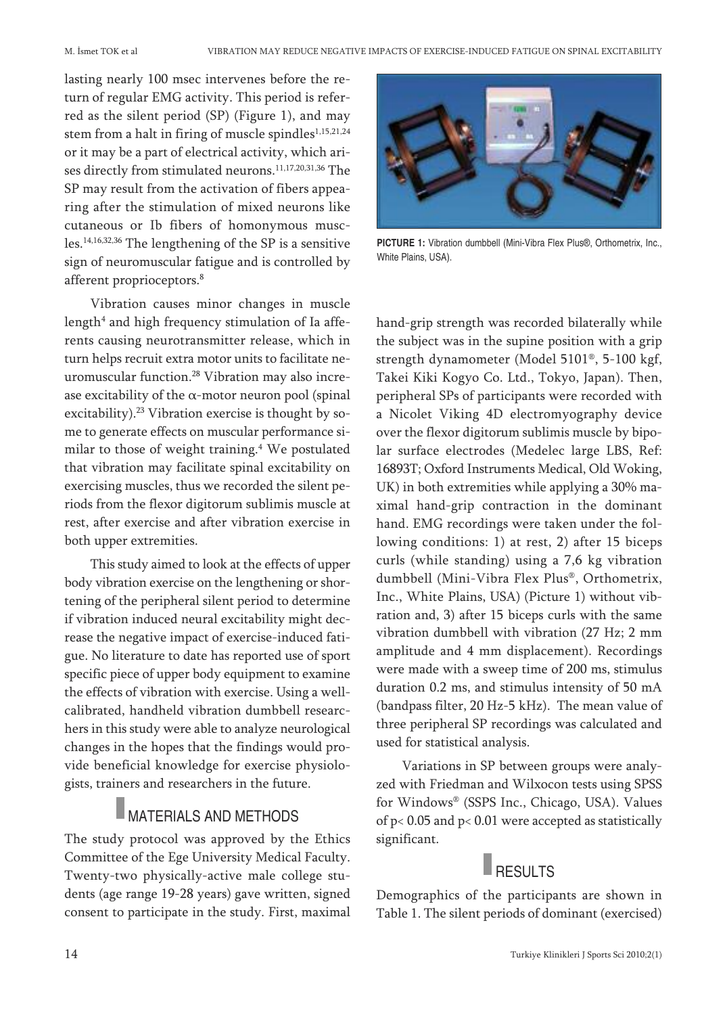lasting nearly 100 msec intervenes before the return of regular EMG activity. This period is referred as the silent period (SP) (Figure 1), and may stem from a halt in firing of muscle spindles<sup>1,15,21,24</sup> or it may be a part of electrical activity, which arises directly from stimulated neurons. 11,17,20,31,36 The SP may result from the activation of fibers appearing after the stimulation of mixed neurons like cutaneous or Ib fibers of homonymous muscles. 14,16,32,36 The lengthening of the SP is a sensitive sign of neuromuscular fatigue and is controlled by afferent proprioceptors. 8

Vibration causes minor changes in muscle length<sup>4</sup> and high frequency stimulation of Ia afferents causing neurotransmitter release, which in turn helps recruit extra motor units to facilitate neuromuscular function. <sup>28</sup> Vibration may also increase excitability of the  $\alpha$ -motor neuron pool (spinal excitability). <sup>23</sup> Vibration exercise is thought by some to generate effects on muscular performance similar to those of weight training. <sup>4</sup> We postulated that vibration may facilitate spinal excitability on exercising muscles, thus we recorded the silent periods from the flexor digitorum sublimis muscle at rest, after exercise and after vibration exercise in both upper extremities.

This study aimed to look at the effects of upper body vibration exercise on the lengthening or shortening of the peripheral silent period to determine if vibration induced neural excitability might decrease the negative impact of exercise-induced fatigue. No literature to date has reported use of sport specific piece of upper body equipment to examine the effects of vibration with exercise. Using a wellcalibrated, handheld vibration dumbbell researchers in this study were able to analyze neurological changes in the hopes that the findings would provide beneficial knowledge for exercise physiologists, trainers and researchers in the future.

### MATERIALS AND METHODS

The study protocol was approved by the Ethics Committee of the Ege University Medical Faculty. Twenty-two physically-active male college students (age range 19-28 years) gave written, signed consent to participate in the study. First, maximal



**PICTURE 1:** Vibration dumbbell (Mini-Vibra Flex Plus®, Orthometrix, Inc., White Plains, USA).

hand-grip strength was recorded bilaterally while the subject was in the supine position with a grip strength dynamometer (Model 5101®, 5-100 kgf, Takei Kiki Kogyo Co. Ltd., Tokyo, Japan). Then, peripheral SPs of participants were recorded with a Nicolet Viking 4D electromyography device over the flexor digitorum sublimis muscle by bipolar surface electrodes (Medelec large LBS, Ref: 16893T; Oxford Instruments Medical, Old Woking, UK) in both extremities while applying a 30% maximal hand-grip contraction in the dominant hand. EMG recordings were taken under the following conditions: 1) at rest, 2) after 15 biceps curls (while standing) using a 7,6 kg vibration dumbbell (Mini-Vibra Flex Plus®, Orthometrix, Inc., White Plains, USA) (Picture 1) without vibration and, 3) after 15 biceps curls with the same vibration dumbbell with vibration (27 Hz; 2 mm amplitude and 4 mm displacement). Recordings were made with a sweep time of 200 ms, stimulus duration 0.2 ms, and stimulus intensity of 50 mA (bandpass filter, 20 Hz-5 kHz). The mean value of three peripheral SP recordings was calculated and used for statistical analysis.

Variations in SP between groups were analyzed with Friedman and Wilxocon tests using SPSS for Windows® (SSPS Inc., Chicago, USA). Values of p< 0.05 and p< 0.01 were accepted as statistically significant.

## $\blacksquare$  RESULTS

Demographics of the participants are shown in Table 1. The silent periods of dominant (exercised)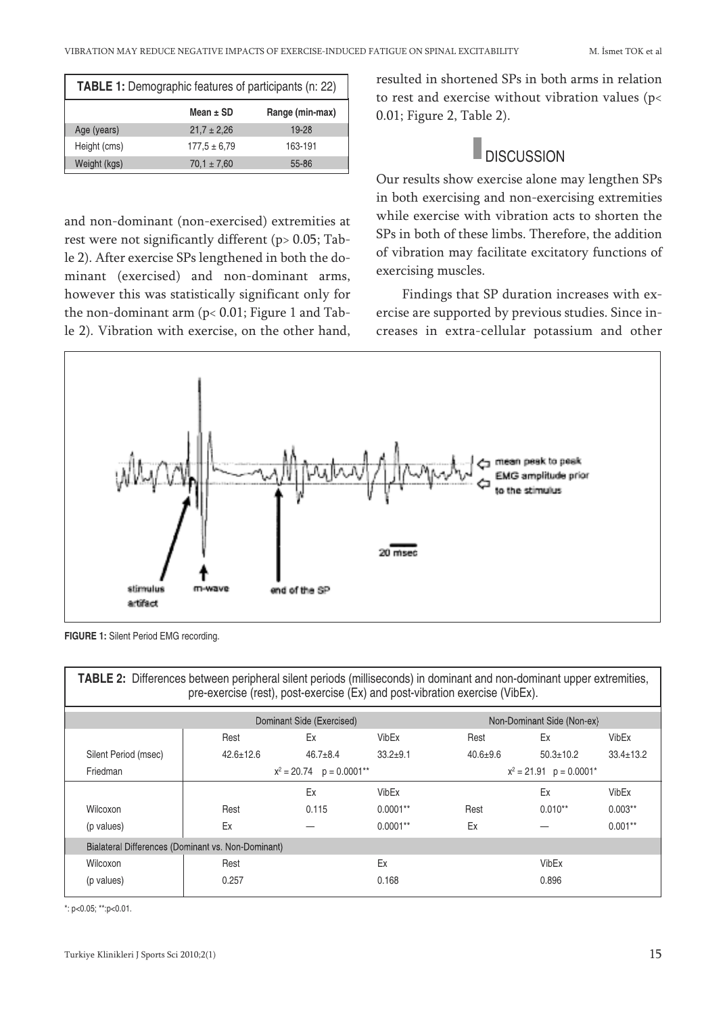| <b>TABLE 1:</b> Demographic features of participants (n: 22) |                  |                 |  |  |  |
|--------------------------------------------------------------|------------------|-----------------|--|--|--|
|                                                              | Mean $\pm$ SD    | Range (min-max) |  |  |  |
| Age (years)                                                  | $21.7 \pm 2.26$  | 19-28           |  |  |  |
| Height (cms)                                                 | $177.5 \pm 6.79$ | 163-191         |  |  |  |
| Weight (kgs)                                                 | $70.1 \pm 7.60$  | 55-86           |  |  |  |

and non-dominant (non-exercised) extremities at rest were not significantly different (p> 0.05; Table 2). After exercise SPs lengthened in both the dominant (exercised) and non-dominant arms, however this was statistically significant only for the non-dominant arm (p< 0.01; Figure 1 and Table 2). Vibration with exercise, on the other hand, resulted in shortened SPs in both arms in relation to rest and exercise without vibration values (p< 0.01; Figure 2, Table 2).

### **DISCUSSION**

Our results show exercise alone may lengthen SPs in both exercising and non-exercising extremities while exercise with vibration acts to shorten the SPs in both of these limbs. Therefore, the addition of vibration may facilitate excitatory functions of exercising muscles.

Findings that SP duration increases with exercise are supported by previous studies. Since increases in extra-cellular potassium and other



**FIGURE 1:** Silent Period EMG recording.

| TABLE 2: Differences between peripheral silent periods (milliseconds) in dominant and non-dominant upper extremities,<br>pre-exercise (rest), post-exercise (Ex) and post-vibration exercise (VibEx). |                              |                |              |                            |                 |                 |  |  |
|-------------------------------------------------------------------------------------------------------------------------------------------------------------------------------------------------------|------------------------------|----------------|--------------|----------------------------|-----------------|-----------------|--|--|
|                                                                                                                                                                                                       | Dominant Side (Exercised)    |                |              | Non-Dominant Side (Non-ex) |                 |                 |  |  |
|                                                                                                                                                                                                       | Rest                         | Ex             | VibEx        | Rest                       | Ex              | VibEx           |  |  |
| Silent Period (msec)                                                                                                                                                                                  | $42.6 \pm 12.6$              | $46.7 \pm 8.4$ | $33.2 + 9.1$ | $40.6 \pm 9.6$             | $50.3 \pm 10.2$ | $33.4 \pm 13.2$ |  |  |
| Friedman                                                                                                                                                                                              | $x^2 = 20.74$ $p = 0.0001**$ |                |              | $x^2 = 21.91$ p = 0.0001*  |                 |                 |  |  |
|                                                                                                                                                                                                       |                              | Ex             | VibEx        |                            | Ex              | VibEx           |  |  |
| Wilcoxon                                                                                                                                                                                              | Rest                         | 0.115          | $0.0001**$   | Rest                       | $0.010**$       | $0.003**$       |  |  |
| (p values)                                                                                                                                                                                            | Ex                           |                | $0.0001**$   | Ex                         |                 | $0.001**$       |  |  |
| Bialateral Differences (Dominant vs. Non-Dominant)                                                                                                                                                    |                              |                |              |                            |                 |                 |  |  |
| Wilcoxon                                                                                                                                                                                              | Rest                         |                | Ex           |                            | VibEx           |                 |  |  |
| (p values)                                                                                                                                                                                            | 0.257                        |                | 0.168        |                            | 0.896           |                 |  |  |

\*: p<0.05; \*\*:p<0.01.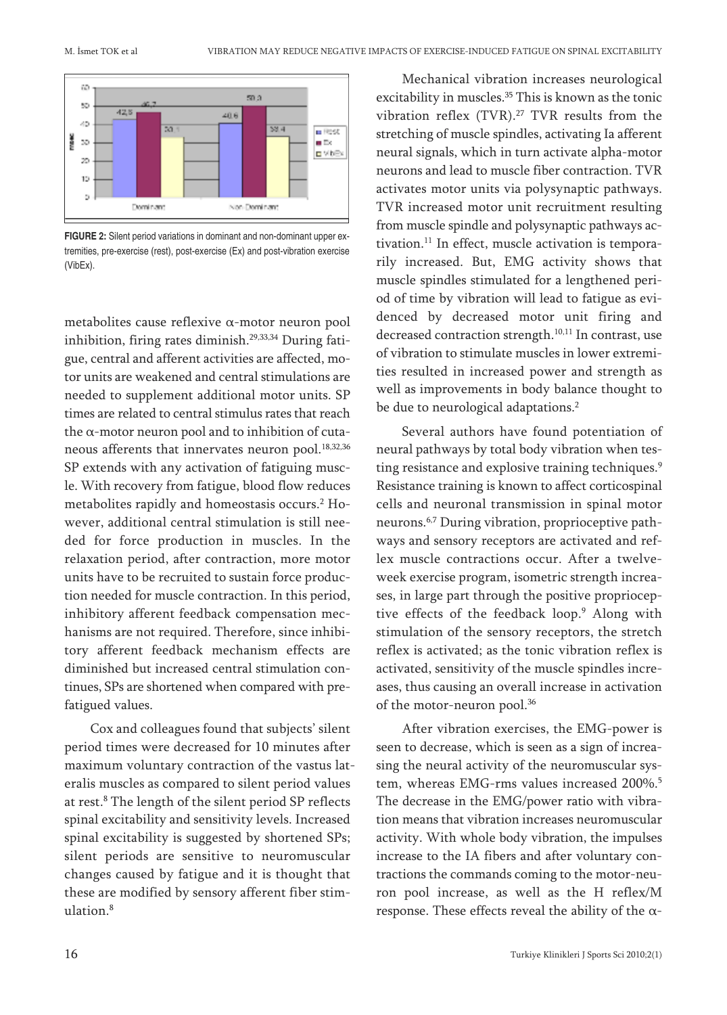

**FIGURE 2:** Silent period variations in dominant and non-dominant upper extremities, pre-exercise (rest), post-exercise (Ex) and post-vibration exercise (VibEx).

metabolites cause reflexive α-motor neuron pool inhibition, firing rates diminish. 29,33,34 During fatigue, central and afferent activities are affected, motor units are weakened and central stimulations are needed to supplement additional motor units. SP times are related to central stimulus rates that reach the  $\alpha$ -motor neuron pool and to inhibition of cutaneous afferents that innervates neuron pool. 18,32,36 SP extends with any activation of fatiguing muscle. With recovery from fatigue, blood flow reduces metabolites rapidly and homeostasis occurs. <sup>2</sup> However, additional central stimulation is still needed for force production in muscles. In the relaxation period, after contraction, more motor units have to be recruited to sustain force production needed for muscle contraction. In this period, inhibitory afferent feedback compensation mechanisms are not required. Therefore, since inhibitory afferent feedback mechanism effects are diminished but increased central stimulation continues, SPs are shortened when compared with prefatigued values.

Cox and colleagues found that subjects' silent period times were decreased for 10 minutes after maximum voluntary contraction of the vastus lateralis muscles as compared to silent period values at rest. <sup>8</sup> The length of the silent period SP reflects spinal excitability and sensitivity levels. Increased spinal excitability is suggested by shortened SPs; silent periods are sensitive to neuromuscular changes caused by fatigue and it is thought that these are modified by sensory afferent fiber stimulation. 8

Mechanical vibration increases neurological excitability in muscles. <sup>35</sup> This is known as the tonic vibration reflex (TVR). <sup>27</sup> TVR results from the stretching of muscle spindles, activating Ia afferent neural signals, which in turn activate alpha-motor neurons and lead to muscle fiber contraction. TVR activates motor units via polysynaptic pathways. TVR increased motor unit recruitment resulting from muscle spindle and polysynaptic pathways activation. <sup>11</sup> In effect, muscle activation is temporarily increased. But, EMG activity shows that muscle spindles stimulated for a lengthened period of time by vibration will lead to fatigue as evidenced by decreased motor unit firing and decreased contraction strength.<sup>10,11</sup> In contrast, use of vibration to stimulate muscles in lower extremities resulted in increased power and strength as well as improvements in body balance thought to be due to neurological adaptations. 2

Several authors have found potentiation of neural pathways by total body vibration when testing resistance and explosive training techniques.<sup>9</sup> Resistance training is known to affect corticospinal cells and neuronal transmission in spinal motor neurons. 6,7 During vibration, proprioceptive pathways and sensory receptors are activated and reflex muscle contractions occur. After a twelveweek exercise program, isometric strength increases, in large part through the positive proprioceptive effects of the feedback loop. <sup>9</sup> Along with stimulation of the sensory receptors, the stretch reflex is activated; as the tonic vibration reflex is activated, sensitivity of the muscle spindles increases, thus causing an overall increase in activation of the motor-neuron pool. 36

After vibration exercises, the EMG-power is seen to decrease, which is seen as a sign of increasing the neural activity of the neuromuscular system, whereas EMG-rms values increased 200%. 5 The decrease in the EMG/power ratio with vibration means that vibration increases neuromuscular activity. With whole body vibration, the impulses increase to the IA fibers and after voluntary contractions the commands coming to the motor-neuron pool increase, as well as the H reflex/M response. These effects reveal the ability of the  $\alpha$ -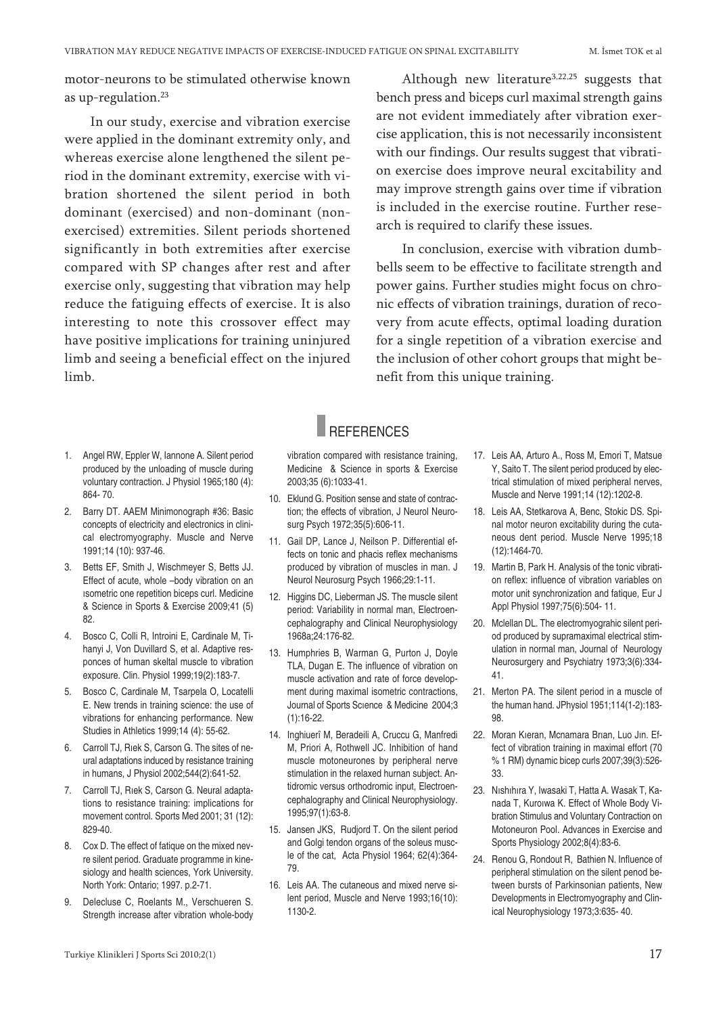motor-neurons to be stimulated otherwise known as up-regulation. 23

In our study, exercise and vibration exercise were applied in the dominant extremity only, and whereas exercise alone lengthened the silent period in the dominant extremity, exercise with vibration shortened the silent period in both dominant (exercised) and non-dominant (nonexercised) extremities. Silent periods shortened significantly in both extremities after exercise compared with SP changes after rest and after exercise only, suggesting that vibration may help reduce the fatiguing effects of exercise. It is also interesting to note this crossover effect may have positive implications for training uninjured limb and seeing a beneficial effect on the injured limb.

Although new literature<sup>3,22,25</sup> suggests that bench press and biceps curl maximal strength gains are not evident immediately after vibration exercise application, this is not necessarily inconsistent with our findings. Our results suggest that vibration exercise does improve neural excitability and may improve strength gains over time if vibration is included in the exercise routine. Further research is required to clarify these issues.

In conclusion, exercise with vibration dumbbells seem to be effective to facilitate strength and power gains. Further studies might focus on chronic effects of vibration trainings, duration of recovery from acute effects, optimal loading duration for a single repetition of a vibration exercise and the inclusion of other cohort groups that might benefit from this unique training.

#### **REFERENCES**

- 1. Angel RW, Eppler W, Iannone A. Silent period produced by the unloading of muscle during voluntary contraction. J Physiol 1965;180 (4): 864- 70.
- 2. Barry DT. AAEM Minimonograph #36: Basic concepts of electricity and electronics in clinical electromyography. Muscle and Nerve 1991;14 (10): 937-46.
- 3. Betts EF, Smith J, Wischmeyer S, Betts JJ. Effect of acute, whole –body vibration on an ısometric one repetition biceps curl. Medicine & Science in Sports & Exercise 2009;41 (5) 82.
- 4. Bosco C, Colli R, Introini E, Cardinale M, Tihanyi J, Von Duvillard S, et al. Adaptive responces of human skeltal muscle to vibration exposure. Clin. Physiol 1999;19(2):183-7.
- 5. Bosco C, Cardinale M, Tsarpela O, Locatelli E. New trends in training science: the use of vibrations for enhancing performance. New Studies in Athletics 1999;14 (4): 55-62.
- 6. Carroll TJ, Rıek S, Carson G. The sites of neural adaptations induced by resistance training in humans, J Physiol 2002;544(2):641-52.
- 7. Carroll TJ, Rıek S, Carson G. Neural adaptations to resistance training: implications for movement control. Sports Med 2001; 31 (12): 829-40.
- 8. Cox D. The effect of fatique on the mixed nevre silent period. Graduate programme in kinesiology and health sciences, York University. North York: Ontario; 1997. p.2-71.
- 9. Delecluse C, Roelants M., Verschueren S. Strength increase after vibration whole-body

vibration compared with resistance training, Medicine & Science in sports & Exercise 2003;35 (6):1033-41.

- 10. Eklund G. Position sense and state of contraction; the effects of vibration, J Neurol Neurosurg Psych 1972;35(5):606-11.
- 11. Gail DP, Lance J, Neilson P. Differential effects on tonic and phacis reflex mechanisms produced by vibration of muscles in man. J Neurol Neurosurg Psych 1966;29:1-11.
- 12. Higgins DC, Lieberman JS. The muscle silent period: Variability in normal man, Electroencephalography and Clinical Neurophysiology 1968a;24:176-82.
- 13. Humphries B, Warman G, Purton J, Doyle TLA, Dugan E. The influence of vibration on muscle activation and rate of force development during maximal isometric contractions, Journal of Sports Scıence & Medicine 2004;3 (1):16-22.
- 14. Inghiuerî M, Beradeili A, Cruccu G, Manfredi M, Priori A, Rothwell JC. Inhibition of hand muscle motoneurones by peripheral nerve stimulation in the relaxed hurnan subject. Antidromic versus orthodromic input, Electroencephalography and Clinical Neurophysiology. 1995;97(1):63-8.
- 15. Jansen JKS, Rudjord T. On the silent period and Golgi tendon organs of the soleus muscle of the cat, Acta Physiol 1964; 62(4):364- 79.
- 16. Leis AA. The cutaneous and mixed nerve silent period, Muscle and Nerve 1993;16(10): 1130-2.
- 17. Leis AA, Arturo A., Ross M, Emori T, Matsue Y, Saito T. The silent period produced by electrical stimulation of mixed peripheral nerves, Muscle and Nerve 1991;14 (12):1202-8.
- 18. Leis AA, Stetkarova A, Benc, Stokic DS. Spinal motor neuron excitability during the cutaneous dent period. Muscle Nerve 1995;18 (12):1464-70.
- 19. Martin B, Park H. Analysis of the tonic vibration reflex: influence of vibration variables on motor unit synchronization and fatique, Eur J Appl Physiol 1997;75(6):504- 11.
- 20. Mclellan DL. The electromyograhic silent period produced by supramaximal electrical stimulation in normal man, Journal of Neurology Neurosurgery and Psychiatry 1973;3(6):334- 41.
- 21. Merton PA. The silent period in a muscle of the human hand. JPhysiol 1951;114(1-2):183- 98.
- 22. Moran Kıeran, Mcnamara Brıan, Luo Jın. Effect of vibration training in maximal effort (70 % 1 RM) dynamic bicep curls 2007;39(3):526- 33.
- 23. Nıshıhıra Y, Iwasaki T, Hatta A. Wasak T, Kanada T, Kuroıwa K. Effect of Whole Body Vibration Stimulus and Voluntary Contraction on Motoneuron Pool. Advances in Exercise and Sports Physiology 2002;8(4):83-6.
- 24. Renou G, Rondout R, Bathien N. Influence of peripheral stimulation on the silent penod between bursts of Parkinsonian patients, New Developments in Electromyography and Clinical Neurophysiology 1973;3:635- 40.